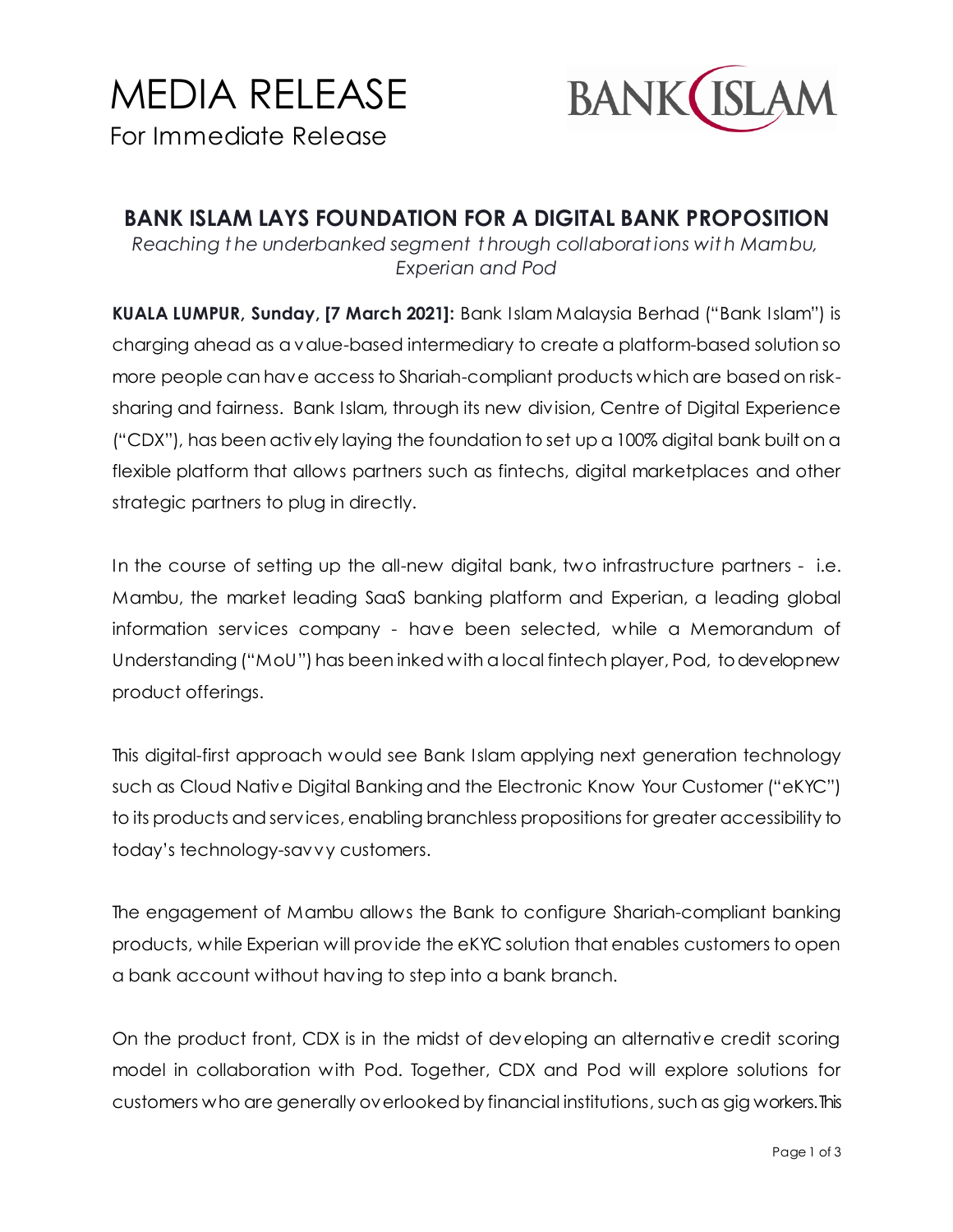# MEDIA RELEASE For Immediate Release



**BANK ISLAM LAYS FOUNDATION FOR A DIGITAL BANK PROPOSITION** *Reaching t he underbanked segment t hrough collaborat ions wit h Mambu, Experian and Pod*

**KUALA LUMPUR, Sunday, [7 March 2021]:** Bank Islam Malaysia Berhad ("Bank Islam") is charging ahead as a value-based intermediary to create a platform-based solution so more people can have access to Shariah-compliant products which are based on risksharing and fairness. Bank Islam, through its new division, Centre of Digital Experience ("CDX"), has been actively laying the foundation to set up a 100% digital bank built on a flexible platform that allows partners such as fintechs, digital marketplaces and other strategic partners to plug in directly.

In the course of setting up the all-new digital bank, two infrastructure partners - i.e. Mambu, the market leading SaaS banking platform and Experian, a leading global information services company - have been selected, while a Memorandum of Understanding ("MoU") has been inked with a local fintech player, Pod, to develop new product offerings.

This digital-first approach would see Bank Islam applying next generation technology such as Cloud Native Digital Banking and the Electronic Know Your Customer ("eKYC") to its products and services, enabling branchless propositions for greater accessibility to today's technology-savvy customers.

The engagement of Mambu allows the Bank to configure Shariah-compliant banking products, while Experian will provide the eKYC solution that enables customers to open a bank account without having to step into a bank branch.

On the product front, CDX is in the midst of developing an alternative credit scoring model in collaboration with Pod. Together, CDX and Pod will explore solutions for customers who are generally overlooked by financial institutions, such as gig workers. This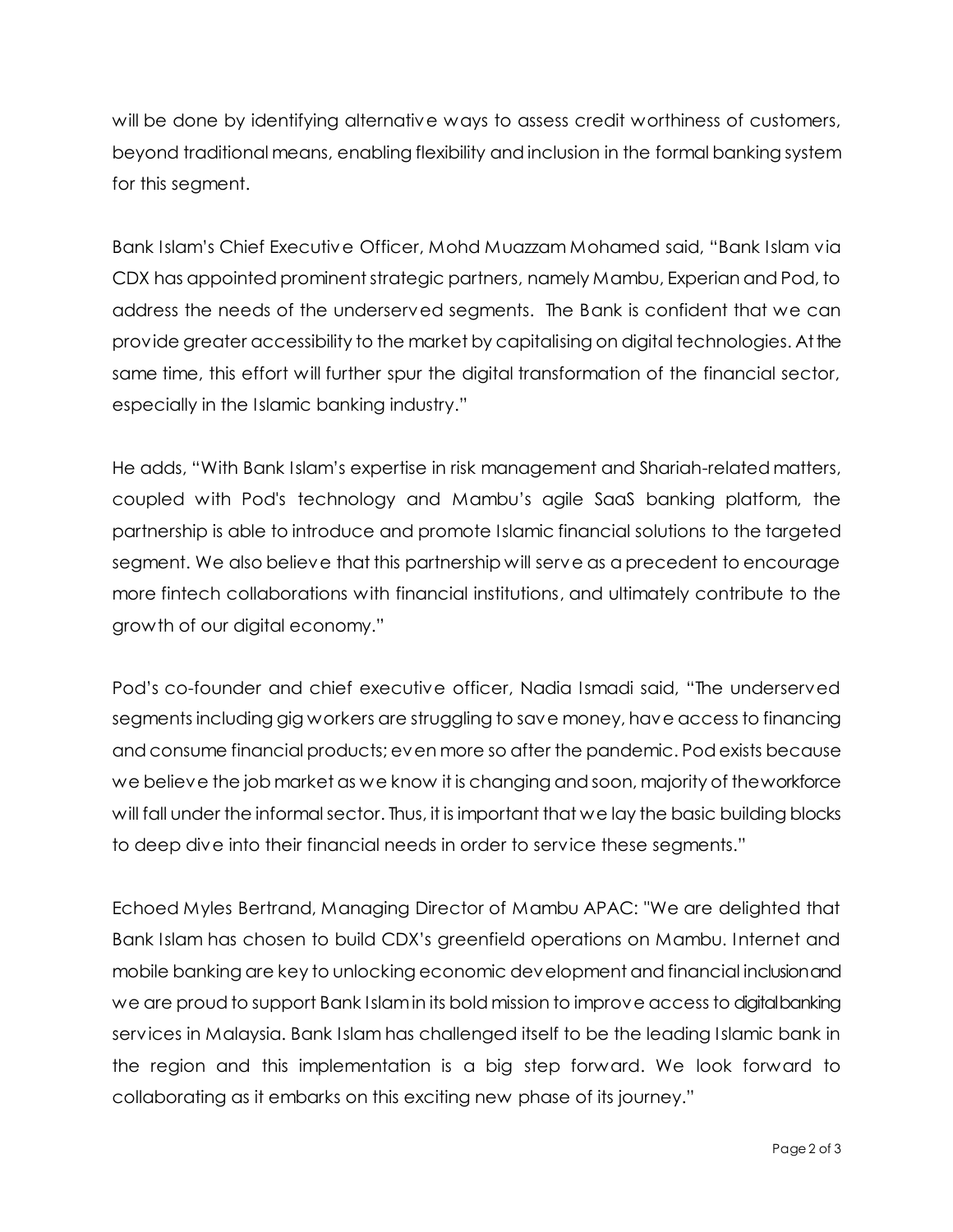will be done by identifying alternative ways to assess credit worthiness of customers, beyond traditional means, enabling flexibility and inclusion in the formal banking system for this segment.

Bank Islam's Chief Executive Officer, Mohd Muazzam Mohamed said, "Bank Islam via CDX has appointed prominent strategic partners, namely Mambu, Experian and Pod, to address the needs of the underserved segments. The Bank is confident that we can provide greater accessibility to the market by capitalising on digital technologies. At the same time, this effort will further spur the digital transformation of the financial sector, especially in the Islamic banking industry."

He adds, "With Bank Islam's expertise in risk management and Shariah-related matters, coupled with Pod's technology and Mambu's agile SaaS banking platform, the partnership is able to introduce and promote Islamic financial solutions to the targeted segment. We also believe that this partnership will serve as a precedent to encourage more fintech collaborations with financial institutions, and ultimately contribute to the growth of our digital economy."

Pod's co-founder and chief executive officer, Nadia Ismadi said, "The underserved segments including gig workers are struggling to save money, have access to financing and consume financial products; even more so after the pandemic. Pod exists because we believe the job market as we know it is changing and soon, majority of the workforce will fall under the informal sector. Thus, it is important that we lay the basic building blocks to deep dive into their financial needs in order to service these segments."

Echoed Myles Bertrand, Managing Director of Mambu APAC: "We are delighted that Bank Islam has chosen to build CDX's greenfield operations on Mambu. Internet and mobile banking are key to unlocking economic development and financial inclusion and we are proud to support Bank Islam in its bold mission to improve access to digital banking services in Malaysia. Bank Islam has challenged itself to be the leading Islamic bank in the region and this implementation is a big step forward. We look forward to collaborating as it embarks on this exciting new phase of its journey."